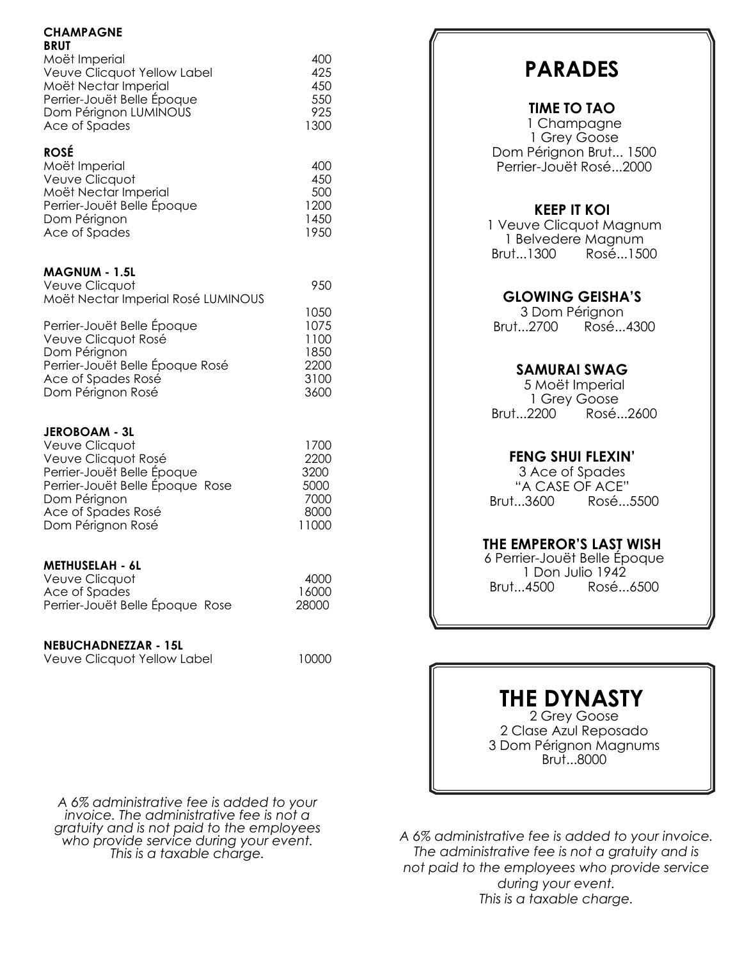#### **CHAMPAGNE BRUT**

| Moët Imperial               | 400  |
|-----------------------------|------|
| Veuve Clicquot Yellow Label | 425  |
| Moët Nectar Imperial        | 450  |
| Perrier-Jouët Belle Époque  | 550  |
| Dom Pérignon LUMINOUS       | 925  |
| Ace of Spades               | 1300 |

## **ROSÉ**

| Moët Imperial              | 400   |
|----------------------------|-------|
| Veuve Clicquot             | 450   |
| Moët Nectar Imperial       | 500   |
| Perrier-Jouët Belle Epoque | 1200  |
| Dom Pérignon               | 1450  |
| Ace of Spades              | 19.50 |

### **MAGNUM - 1.5L**

| Veuve Clicquot                     | 950  |
|------------------------------------|------|
| Moët Nectar Imperial Rosé LUMINOUS |      |
|                                    | 1050 |
| Perrier-Jouët Belle Époque         | 1075 |
| Veuve Clicquot Rosé                | 1100 |
| Dom Pérignon                       | 1850 |
| Perrier-Jouët Belle Époque Rosé    | 2200 |
| Ace of Spades Rosé                 | 3100 |

Dom Pérignon Rosé 3600

#### **JEROBOAM - 3L**

| 1700  |
|-------|
| 2200  |
| 3200  |
| 5000  |
| 7000  |
| 8000  |
| 11000 |
|       |

#### **METHUSELAH - 6L**

| Veuve Clicquot                  | 4000  |
|---------------------------------|-------|
| Ace of Spades                   | 16000 |
| Perrier-Jouët Belle Époque Rose | 28000 |

#### **NEBUCHADNEZZAR - 15L**

| Veuve Clicquot Yellow Label | 10000 |
|-----------------------------|-------|
|                             |       |

*A 6% administrative fee is added to your invoice. The administrative fee is not a gratuity and is not paid to the employees who provide service during your event. This is a taxable charge.*

# **PARADES**

# **TIME TO TAO**

1 Champagne 1 Grey Goose Dom Pérignon Brut... 1500 Perrier-Jouët Rosé...2000

# **KEEP IT KOI**

1 Veuve Clicquot Magnum 1 Belvedere Magnum<br>1500 Rosé...150 Brut...1300 Rosé...1500

# **GLOWING GEISHA'S**

3 Dom Pérignon<br>...3700 Rosé Rosé...4300

# **SAMURAI SWAG**

5 Moët Imperial 1 Grey Goose<br>.Brut...2200 Rosé Rosé...2600

# **FENG SHUI FLEXIN'**

3 Ace of Spades "A CASE OF ACE"<br>...Brut...3600 Rosé Rosé...5500

## **THE EMPEROR'S LAST WISH**

6 Perrier-Jouët Belle Époque 1 Don Julio 1942<br>...Brut...4500 Rosé Rosé...6500

# **THE DYNASTY**

2 Grey Goose 2 Clase Azul Reposado 3 Dom Pérignon Magnums Brut...8000

*A 6% administrative fee is added to your invoice. The administrative fee is not a gratuity and is not paid to the employees who provide service during your event. This is a taxable charge.*